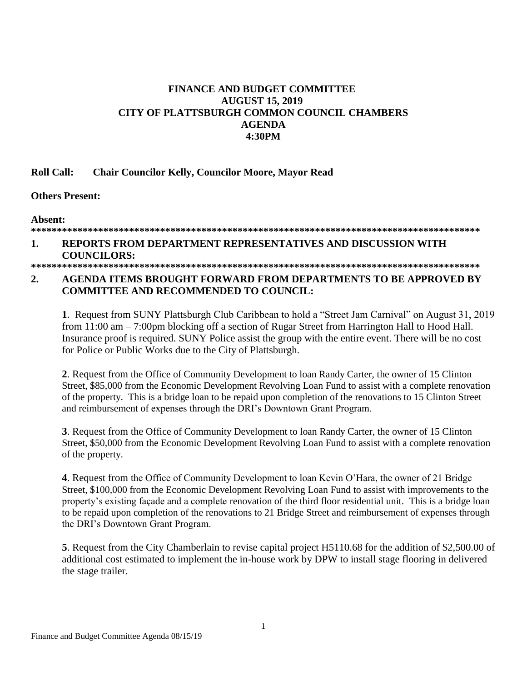# **FINANCE AND BUDGET COMMITTEE AUGUST 15, 2019 CITY OF PLATTSBURGH COMMON COUNCIL CHAMBERS AGENDA 4:30PM**

### **Roll Call: Chair Councilor Kelly, Councilor Moore, Mayor Read**

**Others Present:**

**Absent:**

# **\*\*\*\*\*\*\*\*\*\*\*\*\*\*\*\*\*\*\*\*\*\*\*\*\*\*\*\*\*\*\*\*\*\*\*\*\*\*\*\*\*\*\*\*\*\*\*\*\*\*\*\*\*\*\*\*\*\*\*\*\*\*\*\*\*\*\*\*\*\*\*\*\*\*\*\*\*\*\*\*\*\*\*\*\*\*\***

#### **1. REPORTS FROM DEPARTMENT REPRESENTATIVES AND DISCUSSION WITH COUNCILORS: \*\*\*\*\*\*\*\*\*\*\*\*\*\*\*\*\*\*\*\*\*\*\*\*\*\*\*\*\*\*\*\*\*\*\*\*\*\*\*\*\*\*\*\*\*\*\*\*\*\*\*\*\*\*\*\*\*\*\*\*\*\*\*\*\*\*\*\*\*\*\*\*\*\*\*\*\*\*\*\*\*\*\*\*\*\*\***

# **2. AGENDA ITEMS BROUGHT FORWARD FROM DEPARTMENTS TO BE APPROVED BY COMMITTEE AND RECOMMENDED TO COUNCIL:**

**1**. Request from SUNY Plattsburgh Club Caribbean to hold a "Street Jam Carnival" on August 31, 2019 from 11:00 am – 7:00pm blocking off a section of Rugar Street from Harrington Hall to Hood Hall. Insurance proof is required. SUNY Police assist the group with the entire event. There will be no cost for Police or Public Works due to the City of Plattsburgh.

**2**. Request from the Office of Community Development to loan Randy Carter, the owner of 15 Clinton Street, \$85,000 from the Economic Development Revolving Loan Fund to assist with a complete renovation of the property. This is a bridge loan to be repaid upon completion of the renovations to 15 Clinton Street and reimbursement of expenses through the DRI's Downtown Grant Program.

**3**. Request from the Office of Community Development to loan Randy Carter, the owner of 15 Clinton Street, \$50,000 from the Economic Development Revolving Loan Fund to assist with a complete renovation of the property.

**4**. Request from the Office of Community Development to loan Kevin O'Hara, the owner of 21 Bridge Street, \$100,000 from the Economic Development Revolving Loan Fund to assist with improvements to the property's existing façade and a complete renovation of the third floor residential unit. This is a bridge loan to be repaid upon completion of the renovations to 21 Bridge Street and reimbursement of expenses through the DRI's Downtown Grant Program.

**5**. Request from the City Chamberlain to revise capital project H5110.68 for the addition of \$2,500.00 of additional cost estimated to implement the in-house work by DPW to install stage flooring in delivered the stage trailer.